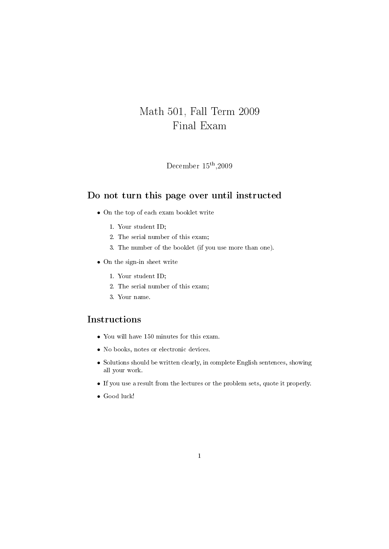## Math 501, Fall Term 2009 Final Exam

December 15th ,2009

## Do not turn this page over until instructed

- On the top of each exam booklet write
	- 1. Your student ID;
	- 2. The serial number of this exam;
	- 3. The number of the booklet (if you use more than one).
- On the sign-in sheet write
	- 1. Your student ID;
	- 2. The serial number of this exam;
	- 3. Your name.

## Instructions

- You will have 150 minutes for this exam.
- No books, notes or electronic devices.
- Solutions should be written clearly, in complete English sentences, showing all your work.
- If you use a result from the lectures or the problem sets, quote it properly.
- Good luck!